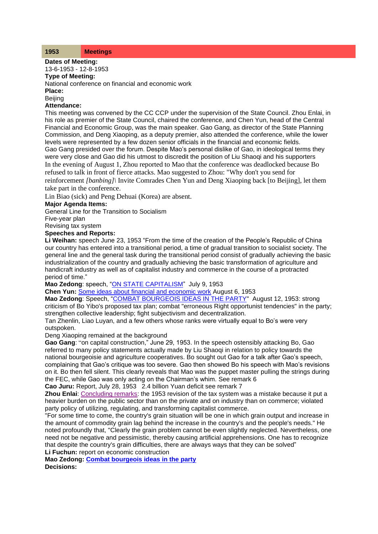## **1953 Meetings**

**Dates of Meeting:**

#### 13-6-1953 - 12-8-1953 **Type of Meeting:**

National conference on financial and economic work

**Place:**

**Beiling** 

## **Attendance:**

This meeting was convened by the CC CCP under the supervision of the State Council. Zhou Enlai, in his role as premier of the State Council, chaired the conference, and Chen Yun, head of the Central Financial and Economic Group, was the main speaker. Gao Gang, as director of the State Planning Commission, and Deng Xiaoping, as a deputy premier, also attended the conference, while the lower levels were represented by a few dozen senior officials in the financial and economic fields. Gao Gang presided over the forum. Despite Mao's personal dislike of Gao, in ideological terms they were very close and Gao did his utmost to discredit the position of Liu Shaoqi and his supporters In the evening of August 1, Zhou reported to Mao that the conference was deadlocked because Bo refused to talk in front of fierce attacks. Mao suggested to Zhou: "Why don't you send for reinforcement *[banbing]\* Invite Comrades Chen Yun and Deng Xiaoping back [to Beijing], let them take part in the conference.

Lin Biao (sick) and Peng Dehuai (Korea) are absent.

# **Major Agenda Items:**

General Line for the Transition to Socialism

Five-year plan

Revising tax system

## **Speeches and Reports:**

**Li Weihan:** speech June 23, 1953 "From the time of the creation of the People's Republic of China our country has entered into a transitional period, a time of gradual transition to socialist society. The general line and the general task during the transitional period consist of gradually achieving the basic industrialization of the country and gradually achieving the basic transformation of agriculture and handicraft industry as well as of capitalist industry and commerce in the course of a protracted period of time."

**Mao Zedong**: speech, ["ON STATE CAPITALISM"](http://www.commonprogram.science/documents/ON%20STATE%20CAPITALISM.pdf) July 9, 1953

**Chen Yun:** [Some ideas about financial and economic work](http://www.commonprogram.science/documents/06-08-1953.pdf) August 6, 1953

**Mao Zedong**: Speech, ["COMBAT BOURGEOIS IDEAS IN THE PARTY"](http://www.commonprogram.science/documents/COMBAT%20BOURGEOIS%20IDEAS%20IN%20THE%20PARTY.pdf) August 12, 1953: strong criticism of Bo Yibo's proposed tax plan; combat "erroneous Right opportunist tendencies" in the party; strengthen collective leadership; fight subjectivism and decentralization.

Tan Zhenlin, Liao Luyan, and a few others whose ranks were virtually equal to Bo's were very outspoken.

## Deng Xiaoping remained at the background

**Gao Gang**: "on capital construction," June 29, 1953. In the speech ostensibly attacking Bo, Gao referred to many policy statements actually made by Liu Shaoqi in relation to policy towards the national bourgeoisie and agriculture cooperatives. Bo sought out Gao for a talk after Gao's speech, complaining that Gao's critique was too severe. Gao then showed Bo his speech with Mao's revisions on it. Bo then fell silent. This clearly reveals that Mao was the puppet master pulling the strings during the FEC, while Gao was only acting on the Chairman's whim. See remark 6

**Cao Juru:** Report, July 28, 1953 2.4 billion Yuan deficit see remark 7

**Zhou Enlai**: [Concluding remarks:](http://www.commonprogram.science/documents/10-08-1953.pdf) the 1953 revision of the tax system was a mistake because it put a heavier burden on the public sector than on the private and on industry than on commerce; violated party policy of utilizing, regulating, and transforming capitalist commerce.

"For some time to come, the country's grain situation will be one in which grain output and increase in the amount of commodity grain lag behind the increase in the country's and the people's needs." He noted profoundly that, "Clearly the grain problem cannot be even slightly neglected. Nevertheless, one need not be negative and pessimistic, thereby causing artificial apprehensions. One has to recognize that despite the country's grain difficulties, there are always ways that they can be solved" **Li Fuchun:** report on economic construction

**Mao Zedong: [Combat bourgeois ideas in the party](http://www.commonprogram.science/documents/COMBAT%20BOURGEOIS%20IDEAS%20IN%20THE%20PARTY.pdf) Decisions:**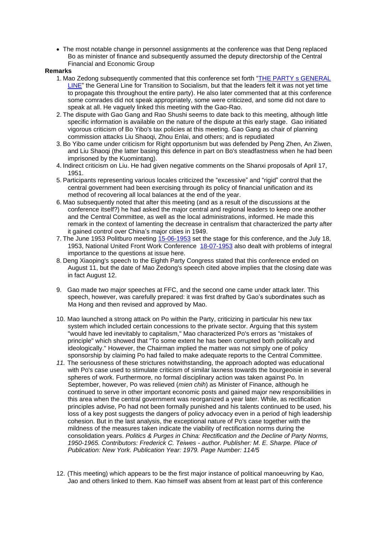• The most notable change in personnel assignments at the conference was that Deng replaced Bo as minister of finance and subsequently assumed the deputy directorship of the Central Financial and Economic Group

### **Remarks**

- 1. Mao Zedong subsequently commented that this conference set forth ["THE PARTY s GENERAL](http://www.commonprogram.science/documents/THE%20PARTY%20s%20GENERAL%20LINE.pdf)  [LINE"](http://www.commonprogram.science/documents/THE%20PARTY%20s%20GENERAL%20LINE.pdf) the General Line for Transition to Socialism, but that the leaders felt it was not yet time to propagate this throughout the entire party). He also later commented that at this conference some comrades did not speak appropriately, some were criticized, and some did not dare to speak at all. He vaguely linked this meeting with the Gao-Rao.
- 2. The dispute with Gao Gang and Rao Shushi seems to date back to this meeting, although little specific information is available on the nature of the dispute at this early stage. Gao initiated vigorous criticism of Bo Yibo's tax policies at this meeting. Gao Gang as chair of planning commission attacks Liu Shaoqi, Zhou Enlai, and others; and is repudiated
- 3. Bo Yibo came under criticism for Right opportunism but was defended by Peng Zhen, An Ziwen, and Liu Shaoqi (the latter basing this defence in part on Bo's steadfastness when he had been imprisoned by the Kuomintang).
- 4. Indirect criticism on Liu. He had given negative comments on the Shanxi proposals of April 17, 1951.
- 5. Participants representing various locales criticized the "excessive" and "rigid" control that the central government had been exercising through its policy of financial unification and its method of recovering all local balances at the end of the year.
- 6. Mao subsequently noted that after this meeting (and as a result of the discussions at the conference itself?) he had asked the major central and regional leaders to keep one another and the Central Committee, as well as the local administrations, informed. He made this remark in the context of lamenting the decrease in centralism that characterized the party after it gained control over China's major cities in 1949.
- 7. The June 1953 Politburo meeting [15-06-1953](http://www.commonprogram.science/meetings/1953/15-06-1953.pdf) set the stage for this conference, and the July 18, 1953, National United Front Work Conference [18-07-1953](http://www.commonprogram.science/meetings/1953/18-07-1953.pdf) also dealt with problems of integral importance to the questions at issue here.
- 8. Deng Xiaoping's speech to the Eighth Party Congress stated that this conference ended on August 11, but the date of Mao Zedong's speech cited above implies that the closing date was in fact August 12.
- 9. Gao made two major speeches at FFC, and the second one came under attack later. This speech, however, was carefully prepared: it was first drafted by Gao's subordinates such as Ma Hong and then revised and approved by Mao.
- 10. Mao launched a strong attack on Po within the Party, criticizing in particular his new tax system which included certain concessions to the private sector. Arguing that this system "would have led inevitably to capitalism," Mao characterized Po's errors as "mistakes of principle" which showed that "To some extent he has been corrupted both politically and ideologically." However, the Chairman implied the matter was not simply one of policy sponsorship by claiming Po had failed to make adequate reports to the Central Committee.
- *11.* The seriousness of these strictures notwithstanding, the approach adopted was educational with Po's case used to stimulate criticism of similar laxness towards the bourgeoisie in several spheres of work. Furthermore, no formal disciplinary action was taken against Po. In September, however, Po was relieved (*mien chih*) as Minister of Finance, although he continued to serve in other important economic posts and gained major new responsibilities in this area when the central government was reorganized a year later. While, as rectification principles advise, Po had not been formally punished and his talents continued to be used, his loss of a key post suggests the dangers of policy advocacy even in a period of high leadership cohesion. But in the last analysis, the exceptional nature of Po's case together with the mildness of the measures taken indicate the viability of rectification norms during the consolidation years. *Politics & Purges in China: Rectification and the Decline of Party Norms, 1950-1965. Contributors: Frederick C. Teiwes - author. Publisher: M. E. Sharpe. Place of Publication: New York. Publication Year: 1979. Page Number: 114/5*
- 12. (This meeting) which appears to be the first major instance of political manoeuvring by Kao, Jao and others linked to them. Kao himself was absent from at least part of this conference